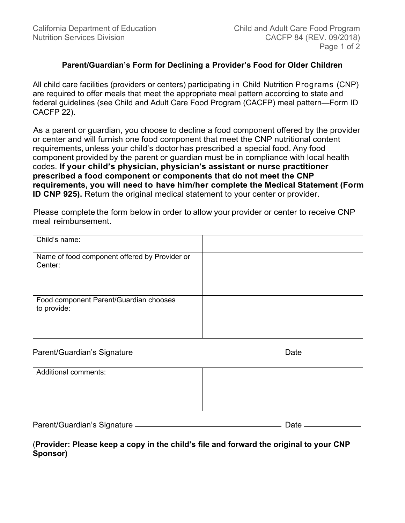## **Parent/Guardian's Form for Declining a Provider's Food for Older Children**

All child care facilities (providers or centers) participating in Child Nutrition Programs (CNP) are required to offer meals that meet the appropriate meal pattern according to state and federal guidelines (see Child and Adult Care Food Program (CACFP) meal pattern—Form ID CACFP 22).

As a parent or guardian, you choose to decline a food component offered by the provider or center and will furnish one food component that meet the CNP nutritional content requirements, unless your child's doctor has prescribed a special food. Any food component provided by the parent or guardian must be in compliance with local health codes. **If your child's physician, physician's assistant or nurse practitioner prescribed a food component or components that do not meet the CNP requirements, you will need to have him/her complete the Medical Statement (Form ID CNP 925).** Return the original medical statement to your center or provider.

Please complete the form below in order to allow your provider or center to receive CNP meal reimbursement.

| Child's name:                                            |  |
|----------------------------------------------------------|--|
| Name of food component offered by Provider or<br>Center: |  |
| Food component Parent/Guardian chooses<br>to provide:    |  |

| Parent/Guardian's Signature |  |
|-----------------------------|--|
|                             |  |

| <b>Additional comments:</b> |  |
|-----------------------------|--|
|                             |  |
|                             |  |
|                             |  |

| Parent/Guardian's Signature |  |
|-----------------------------|--|
|                             |  |

(**Provider: Please keep a copy in the child's file and forward the original to your CNP Sponsor)**